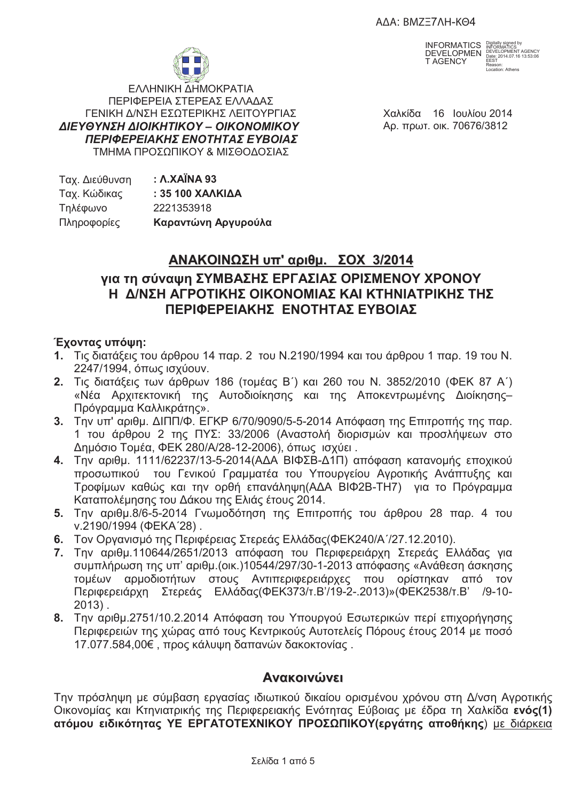AΔA: BMZΞ7ΛΗ-KΘ4



INFORMATICS DEVELOPMEN T AGENCY

Digitally signed by INFORMATICS DEVELOPMENT AGENCY Date: 2014.07.16 13:53:06 EEST Reason: Location: Athens

ΕΛΛΗΝΙΚΗ ΔΗΜΟΚΡΑΤΙΑ ΠΕΡΙΦΕΡΕΙΑ ΣΤΕΡΕΑΣ ΕΛΛΑΔΑΣ ΓΕΝΙΚΗ Δ/ΝΣΗ ΕΣΩΤΕΡΙΚΗΣ ΛΕΙΤΟΥΡΓΙΑΣ  $\Delta$ ΙΕΥΘΥΝΣΗ ΔΙΟΙΚΗΤΙΚΟΥ – ΟΙΚΟΝΟΜΙΚ ΠΕΡΙΦΕΡΕΙΑΚΗΣ ΕΝΟΤΗΤΑΣ ΕΥΒΟΙΑΣ ΤΜΗΜΑ ΠΡΟΣΩΠΙΚΟΥ & ΜΙΣΘΟΔΟΣΙΑΣ

Χαλκίδα 16 Ιουλίου 2014 **Aρ. πρωτ. οικ. 70676/3812** 

| Ταχ. Διεύθυνση | : <b>A.XAÏNA 93</b> |
|----------------|---------------------|
| Ταχ. Κώδικας   | : 35 100 XAAKIAA    |
| Τηλέφωνο       | 2221353918          |
| Πληροφορίες    | Καραντώνη Αργυρούλα |

# **' . - 3/2014**

# για τη σύναψη ΣΥΜΒΑΣΗΣ ΕΡΓΑΣΙΑΣ ΟΡΙΣΜΕΝΟΥ ΧΡΟΝΟΥ **Η Δ/ΝΣΗ ΑΓΡΟΤΙΚΗΣ ΟΙΚΟΝΟΜΙΑΣ ΚΑΙ ΚΤΗΝΙΑΤΡΙΚΗΣ ΤΗΣ ΠΕΡΙΦΕΡΕΙΔΚΗΣ ΕΝΟΤΗΤΑΣ ΕΥΒΟΙΑΣ**

## **Έχοντας υπόψη:**

- **1.** Τις διατάξεις του άρθρου 14 παρ. 2 του Ν.2190/1994 και του άρθρου 1 παρ. 19 του Ν. 2247/1994, όπως ισχύουν.
- **2.** Τις διατάξεις των άρθρων 186 (τομέας Β΄) και 260 του Ν. 3852/2010 (ΦΕΚ 87 Α΄) «Νέα Αρχιτεκτονική της Αυτοδιοίκησης και της Αποκεντρωμένης Διοίκησης– Πρόγραμμα Καλλικράτης».
- 3. Την υπ' αριθμ. ΔΙΠΠ/Φ. ΕΓΚΡ 6/70/9090/5-5-2014 Απόφαση της Επιτροπής της παρ. 1 του άρθρου 2 της ΠΥΣ: 33/2006 (Αναστολή διορισμών και προσλήψεων στο Δημόσιο Τομέα, ΦΕΚ 280/Α/28-12-2006), όπως ισχύει .
- **4.** Την αριθμ. 1111/62237/13-5-2014(ΑΔΑ ΒΙΦΣΒ-Δ1Π) απόφαση κατανομής εποχικού προσωπικού του Γενικού Γραμματέα του Υπουργείου Αγροτικής Ανάπτυξης και Τροφίμων καθώς και την ορθή επανάληψη(ΑΔΑ ΒΙΦ2Β-ΤΗ7) για το Πρόγραμμα Καταπολέμησης του Δάκου της Ελιάς έτους 2014.
- 5. Την αριθμ.8/6-5-2014 Γνωμοδότηση της Επιτροπής του άρθρου 28 παρ. 4 του v.2190/1994 ( $\Phi$ EKA'28).
- **6.** Τον Οργανισμό της Περιφέρειας Στερεάς Ελλάδας(ΦΕΚ240/Α΄/27.12.2010).
- **7.** Την αριθμ.110644/2651/2013 απόφαση του Περιφερειάρχη Στερεάς Ελλάδας για συμπλήρωση της υπ' αριθμ.(οικ.)10544/297/30-1-2013 απόφασης «Ανάθεση άσκησης τομέων αρμοδιοτήτων στους Αντιπεριφερειάρχε ορίστηκαν από τον Περιφερειάρχη Στερεάς Ελλάδας(ΦΕΚ373/τ.Β'/19-2-.2013)»(ΦΕΚ2538/τ.Β' /9-10-2013) .
- **8.** Την αριθμ.2751/10.2.2014 Απόφαση του Υπουργού Εσωτερικών περί επιχορήγησης Περιφερειών της χώρας από τους Κεντρικούς Αυτοτελείς Πόρους έτους 2014 με ποσό 17.077.584,00€, προς κάλυψη δαπανών δακοκτονίας.

## **Ανακοινώνει**

Την πρόσληψη με σύμβαση εργασίας ιδιωτικού δικαίου ορισμένου χρόνου στη Δ/νση Αγροτικής Οικονομίας και Κτηνιατρικής της Περιφερειακής Ενότητας Εύβοιας με έδρα τη Χαλκίδα **ενός(1)** ατόμου ειδικότητας ΥΕ ΕΡΓΑΤΟΤΕΧΝΙΚΟΥ ΠΡΟΣΩΠΙΚΟΥ(εργάτης αποθήκης) <u>με διάρκεια</u>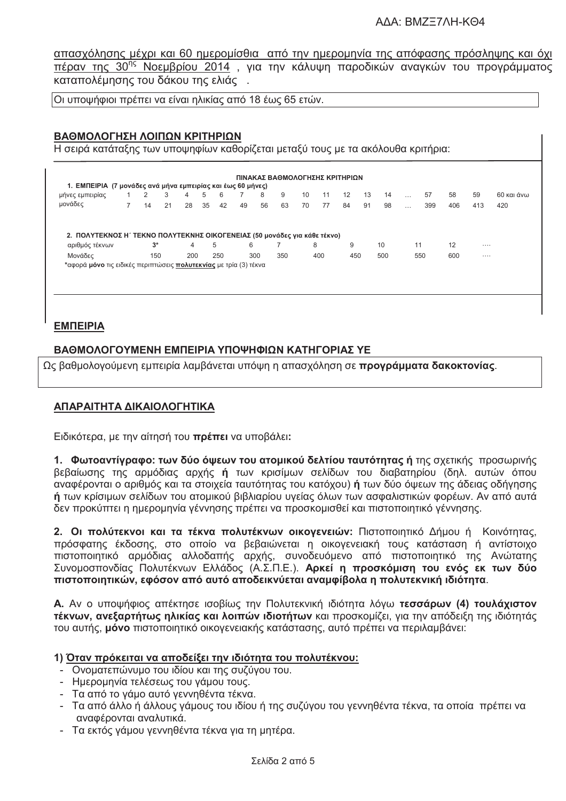απασχόλησης μέχρι και 60 ημερομίσθια από την ημερομηνία της απόφασης πρόσληψης και όχι πέραν της 30<sup>ης</sup> Νοεμβρίου 2014, για την κάλυψη παροδικών αναγκών του προγράμματος καταπολέμησης του δάκου της ελιάς.

|Οι υποψήφιοι πρέπει να είναι ηλικίας από 18 έως 65 ετών.

## ΒΑΘΜΟΛΟΓΗΣΗ ΛΟΙΠΩΝ ΚΡΙΤΗΡΙΩΝ

Η σειρά κατάταξης των υποψηφίων καθορίζεται μεταξύ τους με τα ακόλουθα κριτήρια:

| μήνες εμπειρίας<br>μονάδες                                                | $\overline{7}$ | 2<br>14 | 3<br>21 | 4<br>28 | 5<br>35 | 6<br>42 | 49 | 8<br>56 | 9<br>63 | 10<br>70 | 11<br>77 | 12<br>84 | 13<br>91 | 14<br>98 | $\cdots$<br>$\cdots$ | 57<br>399 | 58<br>406 | 59<br>413 | 60 και άνω<br>420 |
|---------------------------------------------------------------------------|----------------|---------|---------|---------|---------|---------|----|---------|---------|----------|----------|----------|----------|----------|----------------------|-----------|-----------|-----------|-------------------|
|                                                                           |                |         |         |         |         |         |    |         |         |          |          |          |          |          |                      |           |           |           |                   |
| 2. ΠΟΛΥΤΕΚΝΟΣ Η΄ ΤΕΚΝΟ ΠΟΛΥΤΕΚΝΗΣ ΟΙΚΟΓΕΝΕΙΑΣ (50 μονάδες για κάθε τέκνο) |                |         |         |         |         |         |    |         |         |          |          |          |          |          |                      |           |           |           |                   |
| αριθμός τέκνων                                                            |                | $3^*$   |         | 4       |         | 5       | 6  |         |         | 8        |          | 9        |          | 10       |                      | 11        | 12        |           |                   |
| Μονάδες                                                                   |                | 150     |         | 200     |         | 250     |    | 300     | 350     |          | 400      | 450      |          | 500      |                      | 550       | 600       |           |                   |
| *αφορά μόνο τις ειδικές περιπτώσεις πολυτεκνίας με τρία (3) τέκνα         |                |         |         |         |         |         |    |         |         |          |          |          |          |          |                      |           |           |           |                   |
|                                                                           |                |         |         |         |         |         |    |         |         |          |          |          |          |          |                      |           |           |           |                   |

## **EMNEIPIA**

#### ΒΑΘΜΟΛΟΓΟΥΜΕΝΗ ΕΜΠΕΙΡΙΑ ΥΠΟΨΗΦΙΟΝ ΚΑΤΗΓΟΡΙΑΣ ΥΕ

Ως βαθμολογούμενη εμπειρία λαμβάνεται υπόψη η απασχόληση σε **προγράμματα δακοκτονίας**.

#### ΑΠΑΡΑΙΤΗΤΑ ΔΙΚΑΙΟΛΟΓΗΤΙΚΑ

Ειδικότερα, με την αίτησή του πρέπει να υποβάλει:

1. Φωτοαντίγραφο: των δύο όψεων του ατομικού δελτίου ταυτότητας ή της σχετικής προσωρινής βεβαίωσης της αρμόδιας αρχής ή των κρισίμων σελίδων του διαβατηρίου (δηλ. αυτών όπου αναφέρονται ο αριθμός και τα στοιχεία ταυτότητας του κατόχου) ή των δύο όψεων της άδειας οδήγησης ή των κρίσιμων σελίδων του ατομικού βιβλιαρίου υνείας όλων των ασφαλιστικών φορέων. Αν από αυτά δεν προκύπτει η ημερομηνία γέννησης πρέπει να προσκομισθεί και πιστοποιητικό γέννησης.

2. Οι πολύτεκνοι και τα τέκνα πολυτέκνων οικογενειών: Πιστοποιητικό Δήμου ή Κοινότητας, πρόσφατης έκδοσης, στο οποίο να βεβαιώνεται η οικογενειακή τους κατάσταση ή αντίστοιχο πιστοποιητικό αρμόδιας αλλοδαπής αρχής, συνοδευόμενο από πιστοποιητικό της Ανώτατης Συνομοσπονδίας Πολυτέκνων Ελλάδος (Α.Σ.Π.Ε.). Αρκεί η προσκόμιση του ενός εκ των δύο πιστοποιητικών, εφόσον από αυτό αποδεικνύεται αναμφίβολα η πολυτεκνική ιδιότητα.

Α. Αν ο υποψήφιος απέκτησε ισοβίως την Πολυτεκνική ιδιότητα λόγω τεσσάρων (4) τουλάχιστον τέκνων, ανεξαρτήτως ηλικίας και λοιπών ιδιοτήτων και προσκομίζει, για την απόδειξη της ιδιότητάς του αυτής, μόνο πιστοποιητικό οικογενειακής κατάστασης, αυτό πρέπει να περιλαμβάνει:

#### 1) Όταν πρόκειται να αποδείξει την ιδιότητα του πολυτέκνου:

- Ονοματεπώνυμο του ιδίου και της συζύγου του.
- Ημερομηνία τελέσεως του γάμου τους.
- Τα από το νάμο αυτό γεννηθέντα τέκνα.
- Τα από άλλο ή άλλους γάμους του ιδίου ή της συζύγου του γεννηθέντα τέκνα, τα οποία πρέπει να αναφέρονται αναλυτικά.
- Τα εκτός γάμου γεννηθέντα τέκνα για τη μητέρα.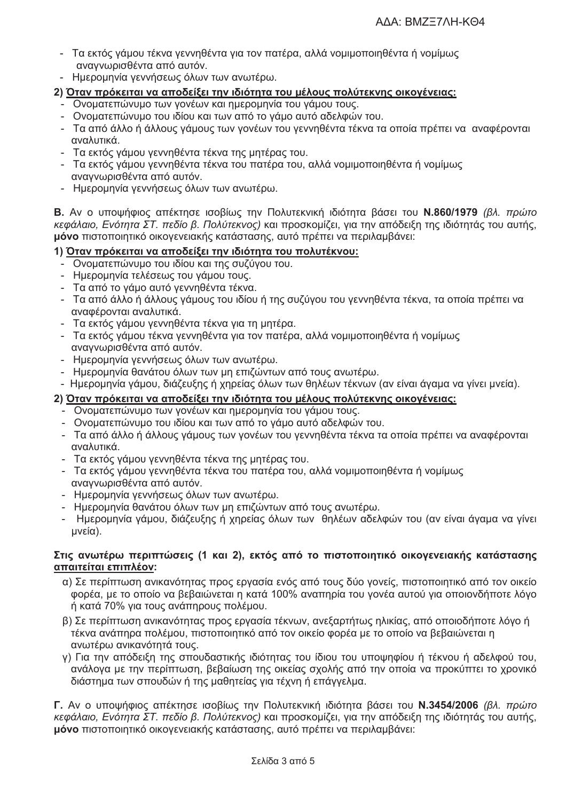- Τα εκτός γάμου τέκνα γεννηθέντα για τον πατέρα, αλλά νομιμοποιηθέντα ή νομίμως αναγνωρισθέντα από αυτόν.
- Ημερομηνία γεννήσεως όλων των ανωτέρω.

## 2) Όταν πρόκειται να αποδείξε<u>ι την ιδιότητα του μέλους πολύτεκνης οικογένειας:</u>

- Ονοματεπώνυμο των γονέων και ημερομηνία του γάμου τους.
- Ονοματεπώνυμο του ιδίου και των από το γάμο αυτό αδελφών του.
- Τα από άλλο ή άλλους γάμους των γονέων του γεννηθέντα τέκνα τα οποία πρέπει να αναφέρονται αναλυτικά.
- Τα εκτός γάμου γεννηθέντα τέκνα της μητέρας του.
- Τα εκτός γάμου γεννηθέντα τέκνα του πατέρα του, αλλά νομιμοποιηθέντα ή νομίμως αναννωρισθέντα από αυτόν.
- Ημερομηνία γεννήσεως όλων των ανωτέρω.

Β. Αν ο υποψήφιος απέκτησε ισοβίως την Πολυτεκνική ιδιότητα βάσει του Ν.860/1979 (βλ. πρώτο κεφάλαιο. Ενότητα ΣΤ. πεδίο β. Πολύτεκνος) και προσκομίζει, για την απόδειξη της ιδιότητάς του αυτής, μόνο πιστοποιητικό οικογενειακής κατάστασης, αυτό πρέπει να περιλαμβάνει:

## 1) Όταν πρόκειται να αποδείξει την ιδιότητα του πολυτέκνου:

- Ονοματεπώνυμο του ιδίου και της συζύγου του.
- Ημερομηνία τελέσεως του γάμου τους.
- Τα από το νάμο αυτό γεννηθέντα τέκνα.
- Τα από άλλο ή άλλους γάμους του ιδίου ή της συζύγου του γεννηθέντα τέκνα, τα οποία πρέπει να αναφέρονται αναλυτικά.
- Τα εκτός γάμου γεννηθέντα τέκνα για τη μητέρα.
- Τα εκτός γάμου τέκνα γεννηθέντα για τον πατέρα, αλλά νομιμοποιηθέντα ή νομίμως αναγνωρισθέντα από αυτόν.
- Ημερομηνία νεννήσεως όλων των ανωτέρω.
- Ημερομηνία θανάτου όλων των μη επιζώντων από τους ανωτέρω.
- Ημερομηνία γάμου, διάζευξης ή χηρείας όλων των θηλέων τέκνων (αν είναι άγαμα να γίνει μνεία).

## 2) Όταν πρόκειται να αποδείξει την ιδιότητα του μέλους πολύτεκνης οικογένειας:

- Ονοματεπώνυμο των γονέων και ημερομηνία του γάμου τους.
- Ονοματεπώνυμο του ιδίου και των από το γάμο αυτό αδελφών του.
- Τα από άλλο ή άλλους γάμους των γονέων του γεννηθέντα τέκνα τα οποία πρέπει να αναφέρονται αναλιιτικά
- Τα εκτός γάμου γεννηθέντα τέκνα της μητέρας του.
- Τα εκτός γάμου γεννηθέντα τέκνα του πατέρα του, αλλά νομιμοποιηθέντα ή νομίμως αναγνωρισθέντα από αυτόν.
- Ημερομηνία γεννήσεως όλων των ανωτέρω.
- Ημερομηνία θανάτου όλων των μη επιζώντων από τους ανωτέρω.
- Ημερομηνία γάμου, διάζευξης ή χηρείας όλων των θηλέων αδελφών του (αν είναι άγαμα να γίνει μνεία).

#### Στις ανωτέρω περιπτώσεις (1 και 2), εκτός από το πιστοποιητικό οικογενειακής κατάστασης απαιτείται επιπλέον:

- α) Σε περίπτωση ανικανότητας προς εργασία ενός από τους δύο γονείς, πιστοποιητικό από τον οικείο φορέα, με το οποίο να βεβαιώνεται η κατά 100% αναπηρία του γονέα αυτού για οποιονδήποτε λόγο ή κατά 70% για τους ανάπηρους πολέμου.
- β) Σε περίπτωση ανικανότητας προς εργασία τέκνων, ανεξαρτήτως ηλικίας, από οποιοδήποτε λόγο ή τέκνα ανάπηρα πολέμου, πιστοποιητικό από τον οικείο φορέα με το οποίο να βεβαιώνεται η ανωτέρω ανικανότητά τους.
- ν) Για την απόδειξη της σπουδαστικής ιδιότητας του ίδιου του υποψηφίου ή τέκνου ή αδελφού του. ανάλογα με την περίπτωση, βεβαίωση της οικείας σχολής από την οποία να προκύπτει το χρονικό διάστημα των σπουδών ή της μαθητείας για τέχνη ή επάγγελμα.

Γ. Αν ο υποψήφιος απέκτησε ισοβίως την Πολυτεκνική ιδιότητα βάσει του Ν.3454/2006 (βλ. πρώτο κεφάλαιο, Ενότητα ΣΤ. πεδίο β. Πολύτεκνος) και προσκομίζει, για την απόδειξη της ιδιότητάς του αυτής, μόνο πιστοποιητικό οικογενειακής κατάστασης, αυτό πρέπει να περιλαμβάνει: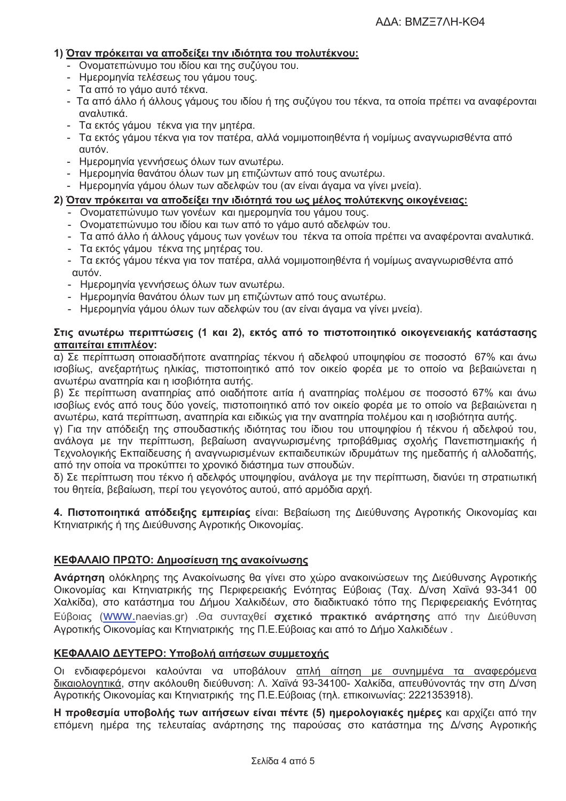## 1) Όταν πρόκειται να αποδείξει την ιδιότητα του πολυτέκνου:

- Ονοματεπώνυμο του ιδίου και της συζύγου του.
- Ημερομηνία τελέσεως του γάμου τους.
- Τα από το γάμο αυτό τέκνα.
- Τα από άλλο ή άλλους γάμους του ιδίου ή της συζύγου του τέκνα, τα οποία πρέπει να αναφέρονται αναλυτικά.
- Τα εκτός γάμου τέκνα για την μητέρα.
- Τα εκτός γάμου τέκνα για τον πατέρα, αλλά νομιμοποιηθέντα ή νομίμως αναγνωρισθέντα από αυτόν.
- Ημερομηνία γεννήσεως όλων των ανωτέρω.
- Ημερομηνία θανάτου όλων των μη επιζώντων από τους ανωτέρω.
- Ημερομηνία γάμου όλων των αδελφών του (αν είναι άγαμα να γίνει μνεία).

#### 2) Όταν πρόκειται να αποδείξει την ιδιότητά του ως μέλος πολύτεκνης οικογένειας:

- Ονοματεπώνυμο των γονέων και ημερομηνία του γάμου τους.
- Ονοματεπώνυμο του ιδίου και των από το γάμο αυτό αδελφών του.
- Τα από άλλο ή άλλους γάμους των γονέων του τέκνα τα οποία πρέπει να αναφέρονται αναλυτικά.
- Τα εκτός γάμου τέκνα της μητέρας του.
- Τα εκτός γάμου τέκνα για τον πατέρα, αλλά νομιμοποιηθέντα ή νομίμως αναγνωρισθέντα από αυτόν.
- Ημερομηνία γεννήσεως όλων των ανωτέρω.
- Ημερομηνία θανάτου όλων των μη επιζώντων από τους ανωτέρω.
- Ημερομηνία γάμου όλων των αδελφών του (αν είναι άγαμα να γίνει μνεία).

#### Στις ανωτέρω περιπτώσεις (1 και 2), εκτός από το πιστοποιητικό οικογενειακής κατάστασης απαιτείται επιπλέον:

α) Σε περίπτωση οποιασδήποτε αναπηρίας τέκνου ή αδελφού υποψηφίου σε ποσοστό 67% και άνω ισοβίως, ανεξαρτήτως ηλικίας, πιστοποιητικό από τον οικείο φορέα με το οποίο να βεβαιώνεται η ανωτέρω αναπηρία και η ισοβιότητα αυτής.

β) Σε περίπτωση αναπηρίας από οιαδήποτε αιτία ή αναπηρίας πολέμου σε ποσοστό 67% και άνω ισοβίως ενός από τους δύο γονείς, πιστοποιητικό από τον οικείο φορέα με το οποίο να βεβαιώνεται η ανωτέρω, κατά περίπτωση, αναπηρία και ειδικώς για την αναπηρία πολέμου και η ισοβιότητα αυτής.

γ) Για την απόδειξη της σπουδαστικής ιδιότητας του ίδιου του υποψηφίου ή τέκνου ή αδελφού του, ανάλογα με την περίπτωση, βεβαίωση αναγνωρισμένης τριτοβάθμιας σχολής Πανεπιστημιακής ή Τεχνολογικής Εκπαίδευσης ή αναγνωρισμένων εκπαιδευτικών ιδρυμάτων της ημεδαπής ή αλλοδαπής, από την οποία να προκύπτει το χρονικό διάστημα των σπουδών.

δ) Σε περίπτωση που τέκνο ή αδελφός υποψηφίου, ανάλογα με την περίπτωση, διανύει τη στρατιωτική του θητεία, βεβαίωση, περί του γεγονότος αυτού, από αρμόδια αρχή.

4. Πιστοποιητικά απόδειξης εμπειρίας είναι: Βεβαίωση της Διεύθυνσης Αγροτικής Οικονομίας και Κτηνιατρικής ή της Διεύθυνσης Αγροτικής Οικονομίας.

## ΚΕΦΑΛΑΙΟ ΠΡΩΤΟ: Δημοσίευση της ανακοίνωσης

Ανάρτηση ολόκληρης της Ανακοίνωσης θα γίνει στο χώρο ανακοινώσεων της Διεύθυνσης Αγροτικής Οικονομίας και Κτηνιατρικής της Περιφερειακής Ενότητας Εύβοιας (Ταχ. Δ/νση Χαϊνά 93-341 00 Χαλκίδα), στο κατάστημα του Δήμου Χαλκιδέων, στο διαδικτυακό τόπο της Περιφερειακής Ενότητας Εύβοιας (WWW.naevias.gr) .Θα συνταχθεί σχετικό πρακτικό ανάρτησης από την Διεύθυνση Αγροτικής Οικονομίας και Κτηνιατρικής της Π.Ε.Εύβοιας και από το Δήμο Χαλκιδέων.

#### ΚΕΦΑΛΑΙΟ ΔΕΥΤΕΡΟ: Υποβολή αιτήσεων συμμετοχής

Οι ενδιαφερόμενοι καλούνται να υποβάλουν απλή αίτηση με συνημμένα τα αναφερόμενα δικαιολογητικά, στην ακόλουθη διεύθυνση: Λ. Χαϊνά 93-34100- Χαλκίδα, απευθύνοντάς την στη Δ/νση Αγροτικής Οικονομίας και Κτηνιατρικής της Π.Ε.Εύβοιας (τηλ. επικοινωνίας: 2221353918).

Η προθεσμία υποβολής των αιτήσεων είναι πέντε (5) ημερολογιακές ημέρες και αρχίζει από την επόμενη ημέρα της τελευταίας ανάρτησης της παρούσας στο κατάστημα της Δ/νσης Αγροτικής